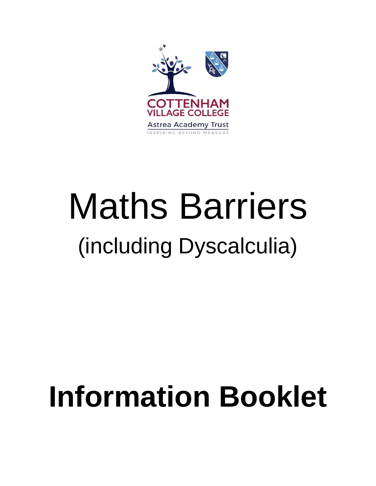

# Maths Barriers (including Dyscalculia)

## **Information Booklet**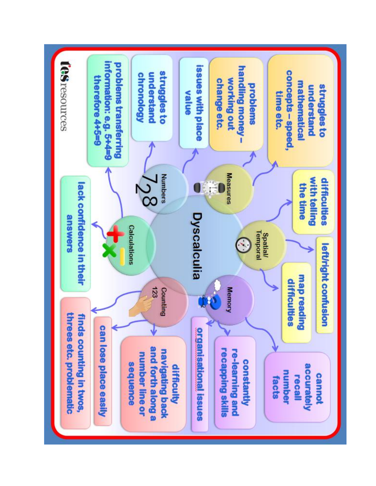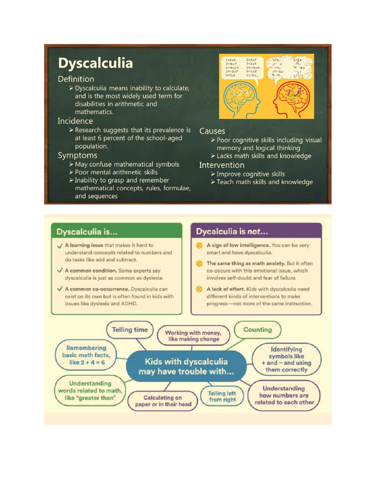### **Dyscalculia**

#### Definition

> Dyscalculia means inability to calculate, and is the most widely used term for disabilities in arithmetic and mathematics.

#### Incidence

 $\triangleright$  Research suggests that its prevalence is at least 6 percent of the school-aged population.

#### Symptoms

- > May confuse mathematical symbols
- > Poor mental arithmetic skills
- $\triangleright$  Inability to grasp and remember mathematical concepts, rules, formulae, and sequences



#### Causes

- > Poor cognitive skills including visual memory and logical thinking
- > Lacks math skills and knowledge

#### Intervention

- > Improve cognitive skills
- >Teach math skills and knowledge

#### Dyscalculia is...

- A learning issue that makes it hard to understand concepts related to numbers and do tasks like add and subtract.
- $\sqrt{\phantom{a}}$  A common condition. Some experts say dyscalculia is just as common as dyslexia.
- A common co-occurrence. Dyscalculia can exist on its own but is often found in kids with issues like dyslexia and ADHD.

#### Dycalculia is not...

- A sign of low intelligence. You can be very smart and have dyscalculia.
- <sup>6</sup> The same thing as math anxiety. But it often co-occurs with this emotional issue, which involves self-doubt and fear of failure.
- A lack of effort. Kids with dyscalculia need different kinds of interventions to make progress-not more of the same instruction.

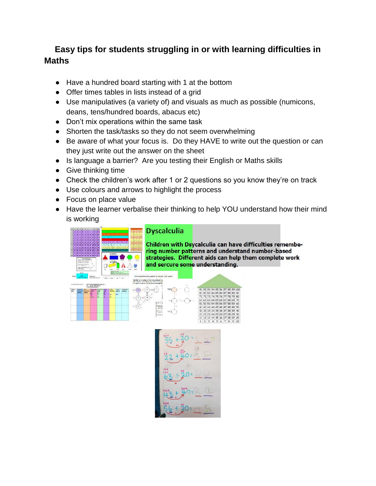#### **Easy tips for students struggling in or with learning difficulties in Maths**

- Have a hundred board starting with 1 at the bottom
- Offer times tables in lists instead of a grid
- Use manipulatives (a variety of) and visuals as much as possible (numicons, deans, tens/hundred boards, abacus etc)
- Don't mix operations within the same task
- Shorten the task/tasks so they do not seem overwhelming
- Be aware of what your focus is. Do they HAVE to write out the question or can they just write out the answer on the sheet
- Is language a barrier? Are you testing their English or Maths skills
- Give thinking time
- Check the children's work after 1 or 2 questions so you know they're on track
- Use colours and arrows to highlight the process
- Focus on place value
- Have the learner verbalise their thinking to help YOU understand how their mind is working



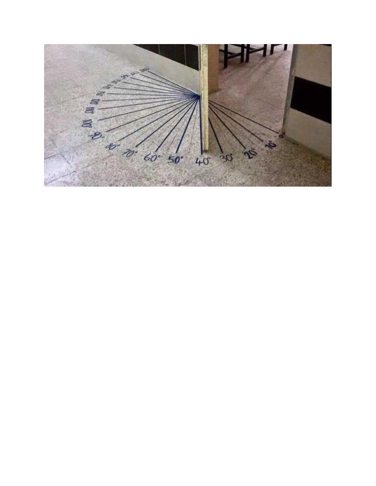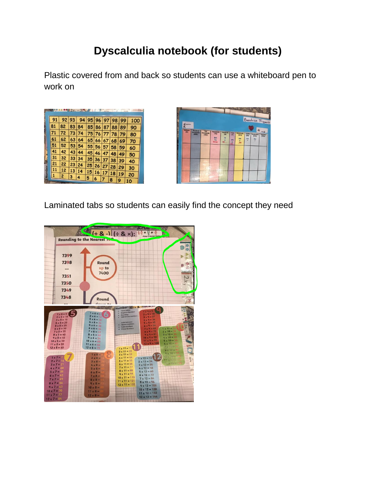### **Dyscalculia notebook (for students)**

Plastic covered from and back so students can use a whiteboard pen to work on

|                |    |    | 2x. |    |    |    | <b>TOW</b> |    | 0x |          |  |
|----------------|----|----|-----|----|----|----|------------|----|----|----------|--|
|                |    | 92 |     |    | 95 | 96 | 97         | 98 | 99 | 100      |  |
|                | 81 | 82 | 83  | 84 | 85 | 86 | 87         | 88 | 89 | 90       |  |
|                |    | 72 | 73  |    | 75 | 76 |            | 78 | 79 | 80       |  |
|                | 61 | 62 | 63  | 64 | 65 | 66 | 67         | 68 | 69 | 70       |  |
|                | 51 | 52 | 53  | 54 | 55 | 56 | 57         | 58 | 59 | 60       |  |
|                | 41 | 42 | 43  | 44 | 45 | 46 | 47         | 48 | 49 | 50       |  |
| $\overline{a}$ | 31 | 32 | 33  | 34 | 35 | 36 | 37         | 38 | 39 | 40       |  |
|                | 21 | 22 | 23  | 24 | 25 | 26 | 27         | 28 | 29 | 30       |  |
| Number:        | 11 | 12 | 13  | 14 | 15 | 16 | 17         | 18 | 19 |          |  |
|                |    | 2  | 3   |    | 5  | 6  |            | 8  | g  | 20<br>10 |  |



Laminated tabs so students can easily find the concept they need